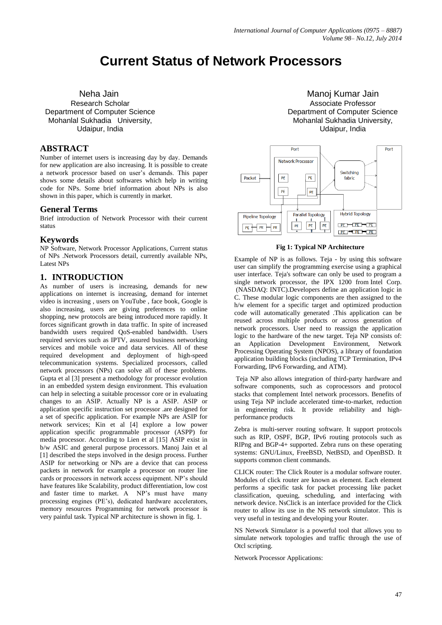# **Current Status of Network Processors**

Neha Jain Research Scholar Department of Computer Science Mohanlal Sukhadia University, Udaipur, India

# **ABSTRACT**

Number of internet users is increasing day by day. Demands for new application are also increasing. It is possible to create a network processor based on user's demands. This paper shows some details about softwares which help in writing code for NPs. Some brief information about NPs is also shown in this paper, which is currently in market.

#### **General Terms**

Brief introduction of Network Processor with their current status

#### **Keywords**

NP Software, Network Processor Applications, Current status of NPs .Network Processors detail, currently available NPs, Latest NPs

## **1. INTRODUCTION**

As number of users is increasing, demands for new applications on internet is increasing, demand for internet video is increasing , users on YouTube , face book, Google is also increasing, users are giving preferences to online shopping, new protocols are being introduced more rapidly. It forces significant growth in data traffic. In spite of increased bandwidth users required QoS-enabled bandwidth. Users required services such as IPTV, assured business networking services and mobile voice and data services. All of these required development and deployment of high-speed telecommunication systems. Specialized processors, called network processors (NPs) can solve all of these problems. Gupta et al [3] present a methodology for processor evolution in an embedded system design environment. This evaluation can help in selecting a suitable processor core or in evaluating changes to an ASIP. Actually NP is a ASIP. ASIP or application specific instruction set processor .are designed for a set of specific application. For example NPs are ASIP for network services; Kin et al [4] explore a low power application specific programmable processor (ASPP) for media processor. According to Lien et al [15] ASIP exist in b/w ASIC and general purpose processors. Manoj Jain et al [1] described the steps involved in the design process. Further ASIP for networking or NPs are a device that can process packets in network for example a processor on router line cards or processors in network access equipment. NP's should have features like Scalability, product differentiation, low cost and faster time to market. A NP's must have many processing engines (PE's), dedicated hardware accelerators, memory resources Programming for network processor is very painful task. Typical NP architecture is shown in fig. 1.

Manoj Kumar Jain Associate Professor Department of Computer Science Mohanlal Sukhadia University, Udaipur, India



#### **Fig 1: Typical NP Architecture**

Example of NP is as follows. Teja - by using this software user can simplify the programming exercise using a graphical user interface. Teja's software can only be used to program a single network processor, the IPX 1200 from [Intel Corp.](http://www.intel.com/) (NASDAQ: INTC).Developers define an application logic in C. These modular logic components are then assigned to the h/w element for a specific target and optimized production code will automatically generated .This application can be reused across multiple products or across generation of network processors. User need to reassign the application logic to the hardware of the new target. Teja NP consists of: an Application Development Environment, Network Processing Operating System (NPOS), a library of foundation application building blocks (including TCP Termination, IPv4 Forwarding, IPv6 Forwarding, and ATM).

Teja NP also allows integration of third-party hardware and software components, such as coprocessors and protocol stacks that complement Intel network processors. Benefits of using Teja NP include accelerated time-to-market, reduction in engineering risk. It provide reliability and highperformance products

Zebra is multi-server routing software. It support protocols such as RIP, OSPF, BGP, IPv6 routing protocols such as RIPng and BGP-4+ supported. Zebra runs on these operating systems: GNU/Linux, FreeBSD, NetBSD, and OpenBSD. It supports common client commands.

CLICK router: The Click Router is a modular software router. Modules of click router are known as element. Each element performs a specific task for packet processing like packet classification, queuing, scheduling, and interfacing with network device. NsClick is an interface provided for the Click router to allow its use in the NS network simulator. This is very useful in testing and developing your Router.

NS Network Simulator is a powerful tool that allows you to simulate network topologies and traffic through the use of Otcl scripting.

Network Processor Applications: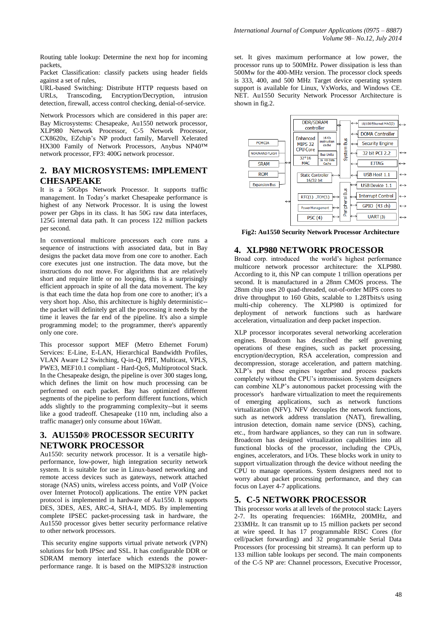Routing table lookup: Determine the next hop for incoming packets,

Packet Classification: classify packets using header fields against a set of rules,

URL-based Switching: Distribute HTTP requests based on URLs, Transcoding, Encryption/Decryption, intrusion detection, firewall, access control checking, denial-of-service.

Network Processors which are considered in this paper are: Bay Microsystems: Chesapeake, Au1550 network processor, XLP980 Network Processor, C-5 Network Processor, CX8620x, EZchip's NP product family, Marvell Xelerated HX300 Family of Network Processors, Anybus NP40™ network processor, FP3: 400G network processor.

# **2. BAY MICROSYSTEMS: IMPLEMENT CHESAPEAKE**

It is a 50Gbps Network Processor. It supports traffic management. In Today's market Chesapeake performance is highest of any Network Processor. It is using the lowest power per Gbps in its class. It has 50G raw data interfaces, 125G internal data path. It can process 122 million packets per second.

In conventional multicore processors each core runs a sequence of instructions with associated data, but in Bay designs the packet data move from one core to another. Each core executes just one instruction. The data move, but the instructions do not move. For algorithms that are relatively short and require little or no looping, this is a surprisingly efficient approach in spite of all the data movement. The key is that each time the data hop from one core to another; it's a very short hop. Also, this architecture is highly deterministic- the packet will definitely get all the processing it needs by the time it leaves the far end of the pipeline. It's also a simple programming model; to the programmer, there's apparently only one core.

This processor support MEF (Metro Ethernet Forum) Services: E-Line, E-LAN, Hierarchical Bandwidth Profiles, VLAN Aware L2 Switching, Q-in-Q, PBT, Multicast, VPLS, PWE3, MEF10.1 compliant - Hard-QoS, Multiprotocol Stack. In the Chesapeake design, the pipeline is over 300 stages long, which defines the limit on how much processing can be performed on each packet. Bay has optimized different segments of the pipeline to perform different functions, which adds slightly to the programming complexity--but it seems like a good tradeoff. Chesapeake (110 nm, including also a traffic manager) only consume about 16Watt.

# **3. AU1550® PROCESSOR SECURITY NETWORK PROCESSOR**

Au1550: security network processor. It is a versatile highperformance, low-power, high integration security network system. It is suitable for use in Linux-based networking and remote access devices such as gateways, network attached storage (NAS) units, wireless access points, and VoIP (Voice over Internet Protocol) applications. The entire VPN packet protocol is implemented in hardware of Au1550. It supports DES, 3DES, AES, ARC-4, SHA-I, MD5. By implementing complete IPSEC packet-processing task in hardware, the Au1550 processor gives better security performance relative to other network processors.

This security engine supports virtual private network (VPN) solutions for both IPSec and SSL. It has configurable DDR or SDRAM memory interface which extends the powerperformance range. It is based on the MIPS32® instruction

set. It gives maximum performance at low power, the processor runs up to 500MHz. Power dissipation is less than 500Mw for the 400-MHz version. The processor clock speeds is 333, 400, and 500 MHz Target device operating system support is available for Linux, VxWorks, and Windows CE. NET. Au1550 Security Network Processor Architecture is shown in fig.2.



**Fig2: Au1550 Security Network Processor Architecture**

#### **4. XLP980 NETWORK PROCESSOR**

Broad corp. introduced the world's highest performance multicore network processor architecture: the XLP980. According to it, this NP can compute 1 trillion operations per second. It is manufactured in a 28nm CMOS process. The 28nm chip uses 20 quad-threaded, out-of-order MIPS cores to drive throughput to 160 Gbits, scalable to 1.28Tbits/s using multi-chip coherency. The XLP980 is optimized for deployment of network functions such as hardware acceleration, virtualization and deep packet inspection.

XLP processor incorporates several networking acceleration engines. Broadcom has described the self governing operations of these engines, such as packet processing, encryption/decryption, RSA acceleration, compression and decompression, storage acceleration, and pattern matching. XLP's put these engines together and process packets completely without the CPU's intromission. System designers can combine XLP's autonomous packet processing with the processor's hardware virtualization to meet the requirements of emerging applications, such as network functions virtualization (NFV). NFV decouples the network functions, such as network address translation (NAT), firewalling, intrusion detection, domain name service (DNS), caching, etc., from hardware appliances, so they can run in software. Broadcom has designed virtualization capabilities into all functional blocks of the processor, including the CPUs, engines, accelerators, and I/Os. These blocks work in unity to support virtualization through the device without needing the CPU to manage operations. System designers need not to worry about packet processing performance, and they can focus on Layer 4-7 applications.

# **5. C-5 NETWORK PROCESSOR**

This processor works at all levels of the protocol stack: Layers 2-7. Its operating frequencies: 166MHz, 200MHz, and 233MHz. It can transmit up to 15 million packets per second at wire speed. It has 17 programmable RISC Cores (for cell/packet forwarding) and 32 programmable Serial Data Processors (for processing bit streams). It can perform up to 133 million table lookups per second. The main components of the C-5 NP are: Channel processors, Executive Processor,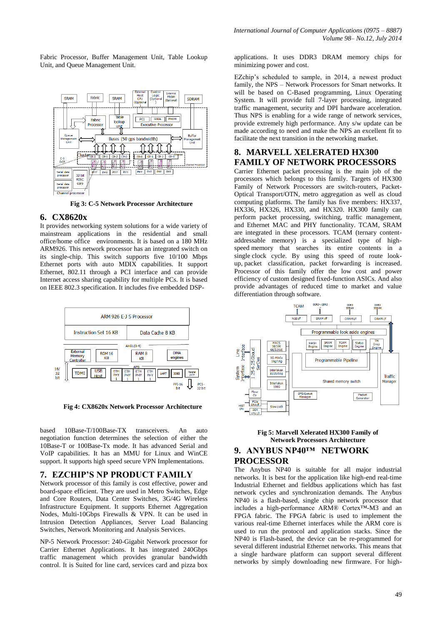Fabric Processor, Buffer Management Unit, Table Lookup Unit, and Queue Management Unit.



 **Fig 3: C-5 Network Processor Architecture**

#### **6. CX8620x**

It provides networking system solutions for a wide variety of mainstream applications in the residential and small office/home office environments. It is based on a 180 MHz ARM926. This network processor has an integrated switch on its single-chip. This switch supports five 10/100 Mbps Ethernet ports with auto MDIX capabilities. It support Ethernet, 802.11 through a PCI interface and can provide Internet access sharing capability for multiple PCs. It is based on IEEE 802.3 specification. It includes five embedded DSP-



 **Fig 4: CX8620x Network Processor Architecture**

based 10Base-T/100Base-TX transceivers. An auto negotiation function determines the selection of either the 10Base-T or 100Base-Tx mode. It has advanced Serial and VoIP capabilities. It has an MMU for Linux and WinCE support. It supports high speed secure VPN Implementations.

## **7. EZCHIP'S NP PRODUCT FAMILY**

Network processor of this family is cost effective, power and board-space efficient. They are used in Metro Switches, Edge and Core Routers, Data Center Switches, 3G/4G Wireless Infrastructure Equipment. It supports Ethernet Aggregation Nodes, Multi-10Gbps Firewalls & VPN. It can be used in Intrusion Detection Appliances, Server Load Balancing Switches, Network Monitoring and Analysis Services.

NP-5 Network Processor: 240-Gigabit Network processor for Carrier Ethernet Applications. It has integrated 240Gbps traffic management which provides granular bandwidth control. It is Suited for line card, services card and pizza box

applications. It uses DDR3 DRAM memory chips for minimizing power and cost.

EZchip's scheduled to sample, in 2014, a newest product family, the NPS – Network Processors for Smart networks. It will be based on C-Based programming, Linux Operating System. It will provide full 7-layer processing, integrated traffic management, security and DPI hardware acceleration. Thus NPS is enabling for a wide range of network services, provide extremely high performance. Any s/w update can be made according to need and make the NPS an excellent fit to facilitate the next transition in the networking market.

# **8. MARVELL XELERATED HX300 FAMILY OF NETWORK PROCESSORS**

Carrier Ethernet packet processing is the main job of the processors which belongs to this family. Targets of HX300 Family of Network Processors are switch-routers, Packet-Optical Transport/OTN, metro aggregation as well as cloud computing platforms. The family has five members: HX337, HX336, HX326, HX330, and HX320. HX300 family can perform packet processing, switching, traffic management, and Ethernet MAC and PHY functionality. TCAM, SRAM are integrated in these processors. TCAM (ternary contentaddressable memory) is a specialized type of highspeed [memory](http://searchmobilecomputing.techtarget.com/definition/memory) that searches its entire contents in a single [clock cycle.](http://searchwinit.techtarget.com/definition/clock-cycle) By using this speed of route lookup, [packet](http://searchnetworking.techtarget.com/definition/packet) classification, packet forwarding is increased. Processor of this family offer the low cost and power efficiency of custom designed fixed-function ASICs. And also provide advantages of reduced time to market and value differentiation through software.



#### **Fig 5: Marvell Xelerated HX300 Family of Network Processors Architecture 9. ANYBUS NP40™ NETWORK**

**PROCESSOR**

The Anybus NP40 is suitable for all major industrial networks. It is best for the application like high-end real-time Industrial Ethernet and fieldbus applications which has fast network cycles and synchronization demands. The Anybus NP40 is a flash-based, single chip network processor that includes a high-performance ARM® Cortex™-M3 and an FPGA fabric. The FPGA fabric is used to implement the various real-time Ethernet interfaces while the ARM core is used to run the protocol and application stacks. Since the NP40 is Flash-based, the device can be re-programmed for several different industrial Ethernet networks. This means that a single hardware platform can support several different networks by simply downloading new firmware. For high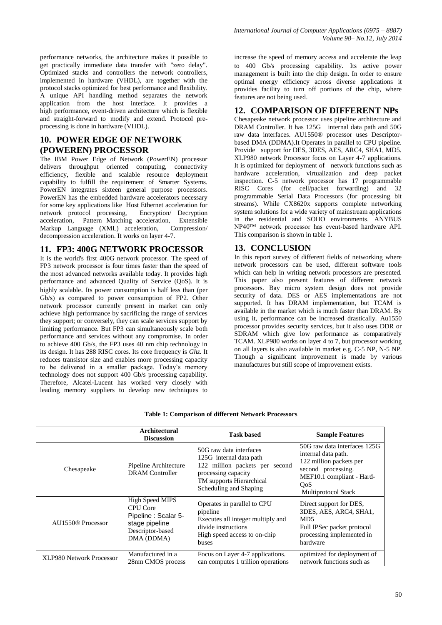performance networks, the architecture makes it possible to get practically immediate data transfer with "zero delay". Optimized stacks and controllers the network controllers, implemented in hardware (VHDL), are together with the protocol stacks optimized for best performance and flexibility. A unique API handling method separates the network application from the host interface. It provides a high performance, event-driven architecture which is flexible and straight-forward to modify and extend. Protocol preprocessing is done in hardware (VHDL).

# **10. POWER EDGE OF NETWORK (POWEREN) PROCESSOR**

The IBM Power Edge of Network (PowerEN) processor delivers throughput oriented computing, connectivity efficiency, flexible and scalable resource deployment capability to fulfill the requirement of Smarter Systems. PowerEN integrates sixteen general purpose processors. PowerEN has the embedded hardware accelerators necessary for some key applications like Host Ethernet acceleration for network protocol processing, Encryption/ Decryption acceleration, Pattern Matching acceleration, Extensible Markup Language (XML) acceleration, Compression/ Markup Language (XML) acceleration, decompression acceleration. It works on layer 4-7.

## **11. FP3: 400G NETWORK PROCESSOR**

It is the world's first 400G network processor. The speed of FP3 network processor is four times faster than the speed of the most advanced networks available today. It provides high performance and advanced Quality of Service (QoS). It is highly scalable. Its power consumption is half less than (per Gb/s) as compared to power consumption of FP2. Other network processor currently present in market can only achieve high performance by sacrificing the range of services they support; or conversely, they can scale services support by limiting performance. But FP3 can simultaneously scale both performance and services without any compromise. In order to achieve 400 Gb/s, the FP3 uses 40 nm chip technology in its design. It has 288 RISC cores. Its core frequency is *Ghz.* It reduces transistor size and enables more processing capacity to be delivered in a smaller package. Today's memory technology does not support 400 Gb/s processing capability. Therefore, Alcatel-Lucent has worked very closely with leading memory suppliers to develop new techniques to

increase the speed of memory access and accelerate the leap to 400 Gb/s processing capability. Its active power management is built into the chip design. In order to ensure optimal energy efficiency across diverse applications it provides facility to turn off portions of the chip, where features are not being used.

# **12. COMPARISON OF DIFFERENT NPs**

Chesapeake network processor uses pipeline architecture and DRAM Controller. It has 125G internal data path and 50G raw data interfaces. AU1550® processor uses Descriptorbased DMA (DDMA).It Operates in parallel to CPU pipeline. Provide support for DES, 3DES, AES, ARC4, SHA1, MD5. XLP980 network Processor focus on Layer 4-7 applications. It is optimized for deployment of network functions such as hardware acceleration, virtualization and deep packet inspection. C-5 network processor has 17 programmable RISC Cores (for cell/packet forwarding) and 32 programmable Serial Data Processors (for processing bit streams). While CX8620x supports complete networking system solutions for a wide variety of mainstream applications in the residential and SOHO environments. ANYBUS NP40™ network processor has event-based hardware API. This comparison is shown in table 1.

## **13. CONCLUSION**

In this report survey of different fields of networking where network processors can be used, different software tools which can help in writing network processors are presented. This paper also present features of different network processors. Bay micro system design does not provide security of data. DES or AES implementations are not supported. It has DRAM implementation, but TCAM is available in the market which is much faster than DRAM. By using it, performance can be increased drastically. Au1550 processor provides security services, but it also uses DDR or SDRAM which give low performance as comparatively TCAM. XLP980 works on layer 4 to 7, but processor working on all layers is also available in market e.g. C-5 NP, N-5 NP. Though a significant improvement is made by various manufactures but still scope of improvement exists.

|                                 | Architectural<br><b>Discussion</b>              | <b>Task based</b>                                                                                                                                                 | <b>Sample Features</b>                                                                                                                                                        |
|---------------------------------|-------------------------------------------------|-------------------------------------------------------------------------------------------------------------------------------------------------------------------|-------------------------------------------------------------------------------------------------------------------------------------------------------------------------------|
| Chesapeake                      | Pipeline Architecture<br><b>DRAM</b> Controller | 50G raw data interfaces<br>125G internal data path<br>122 million packets per second<br>processing capacity<br>TM supports Hierarchical<br>Scheduling and Shaping | 50G raw data interfaces 125G<br>internal data path.<br>122 million packets per<br>second processing.<br>MEF10.1 compliant - Hard-<br><b>OoS</b><br><b>Multiprotocol Stack</b> |
| AU1550 <sup>®</sup> Processor   | <b>High Speed MIPS</b>                          | Operates in parallel to CPU                                                                                                                                       | Direct support for DES,                                                                                                                                                       |
|                                 | CPU Core                                        | pipeline                                                                                                                                                          | 3DES, AES, ARC4, SHA1,                                                                                                                                                        |
|                                 | Pipeline: Scalar 5-                             | Executes all integer multiply and                                                                                                                                 | MD <sub>5</sub>                                                                                                                                                               |
|                                 | stage pipeline                                  | divide instructions                                                                                                                                               | Full IPSec packet protocol                                                                                                                                                    |
|                                 | Descriptor-based                                | High speed access to on-chip                                                                                                                                      | processing implemented in                                                                                                                                                     |
|                                 | DMA (DDMA)                                      | buses                                                                                                                                                             | hardware                                                                                                                                                                      |
| <b>XLP980 Network Processor</b> | Manufactured in a                               | Focus on Layer 4-7 applications.                                                                                                                                  | optimized for deployment of                                                                                                                                                   |
|                                 | 28nm CMOS process                               | can computes 1 trillion operations                                                                                                                                | network functions such as                                                                                                                                                     |

#### **Table 1: Comparison of different Network Processors**